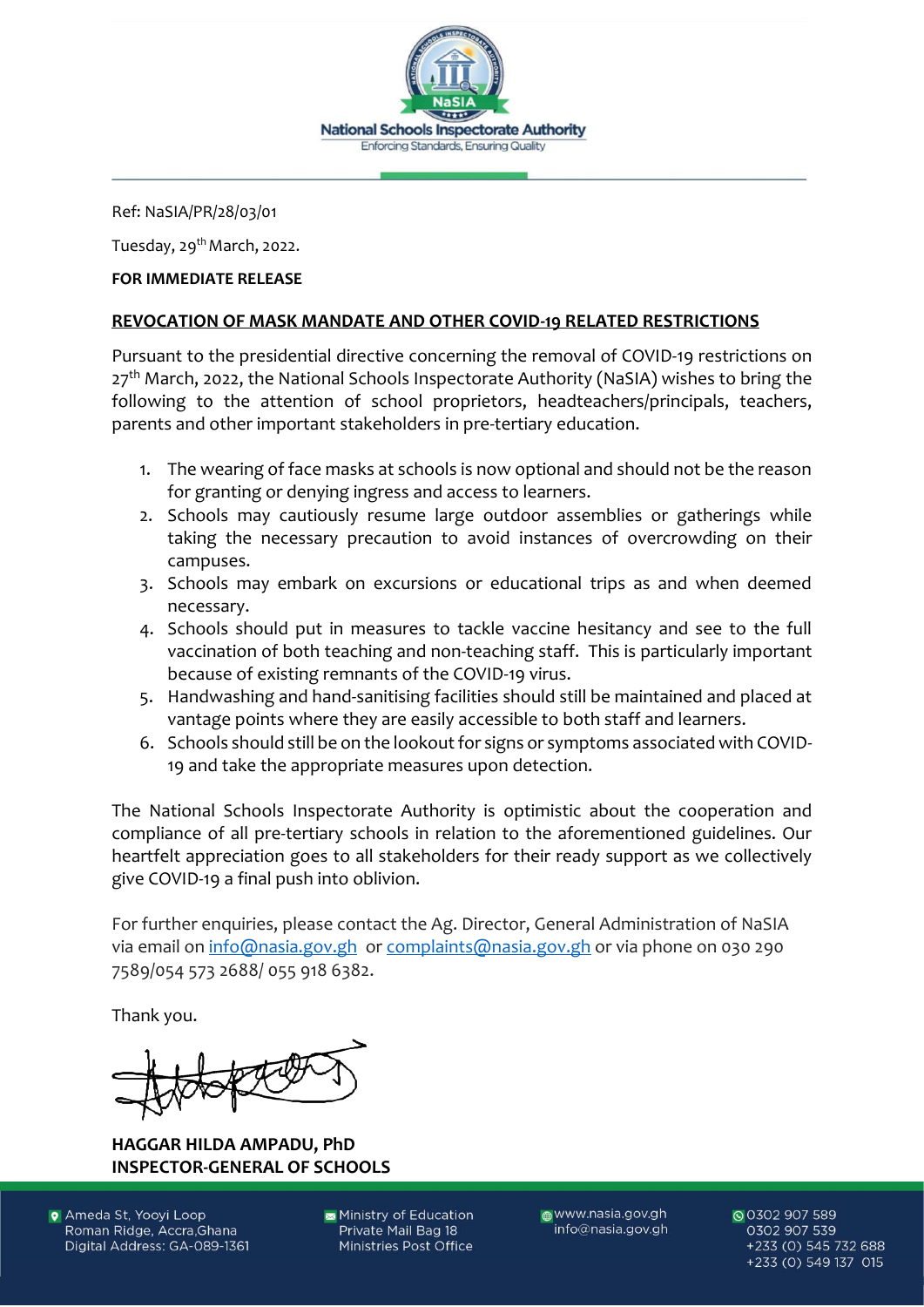

Ref: NaSIA/PR/28/03/01

Tuesday, 29<sup>th</sup> March, 2022.

## **FOR IMMEDIATE RELEASE**

## **REVOCATION OF MASK MANDATE AND OTHER COVID-19 RELATED RESTRICTIONS**

Pursuant to the presidential directive concerning the removal of COVID-19 restrictions on  $27<sup>th</sup>$  March, 2022, the National Schools Inspectorate Authority (NaSIA) wishes to bring the following to the attention of school proprietors, headteachers/principals, teachers, parents and other important stakeholders in pre-tertiary education.

- 1. The wearing of face masks at schools is now optional and should not be the reason for granting or denying ingress and access to learners.
- 2. Schools may cautiously resume large outdoor assemblies or gatherings while taking the necessary precaution to avoid instances of overcrowding on their campuses.
- 3. Schools may embark on excursions or educational trips as and when deemed necessary.
- 4. Schools should put in measures to tackle vaccine hesitancy and see to the full vaccination of both teaching and non-teaching staff. This is particularly important because of existing remnants of the COVID-19 virus.
- 5. Handwashing and hand-sanitising facilities should still be maintained and placed at vantage points where they are easily accessible to both staff and learners.
- 6. Schools should still be on the lookout for signs or symptoms associated with COVID-19 and take the appropriate measures upon detection.

The National Schools Inspectorate Authority is optimistic about the cooperation and compliance of all pre-tertiary schools in relation to the aforementioned guidelines. Our heartfelt appreciation goes to all stakeholders for their ready support as we collectively give COVID-19 a final push into oblivion.

For further enquiries, please contact the Ag. Director, General Administration of NaSIA via email o[n info@nasia.gov.gh](mailto:info@nasia.gov.gh) or [complaints@nasia.gov.gh](mailto:complaints@nasia.gov.gh) or via phone on 030 290 7589/054 573 2688/ 055 918 6382.

Thank you.

**HAGGAR HILDA AMPADU, PhD INSPECTOR-GENERAL OF SCHOOLS**

**O** Ameda St, Yooyi Loop Roman Ridge, Accra, Ghana Digital Address: GA-089-1361 Ministry of Education Private Mail Bag 18 Ministries Post Office

www.nasia.gov.gh info@nasia.gov.gh

© 0302 907 589 0302 907 539 +233 (0) 545 732 688 +233 (0) 549 137 015